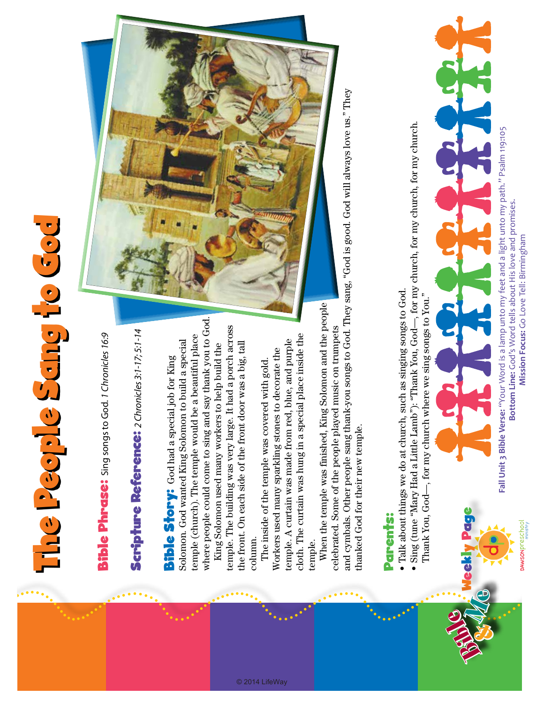## The People Sang to God rhe People Sang fo God

**Bible Phrase:** Sing songs to God. 1 Chronicles 16:9 Bible Phrase: Sing songs to God. *1 Chronicles 16:9*

## Scripture Reference: 2 Chronicles 3:1-17; 5:1-14 Scripture Reference: *2 Chronicles 3:1-17; 5:1-14*

where people could come to sing and say thank you to God. where people could come to sing and say thank you to God. temple (church). The temple would be a beautiful place temple (church). The temple would be a beautiful place Solomon. God wanted King Solomon to build a special Solomon. God wanted King Solomon to build a special Bible Story: God had a special job for King **Bible Story:** God had a special job for King

temple. The building was very large. It had a porch across temple. The building was very large. It had a porch across the front. On each side of the front door was a big, tall King Solomon used many workers to help build the the front. On each side of the front door was a big, tall King Solomon used many workers to help build the column.

cloth. The curtain was hung in a special place inside the cloth. The curtain was hung in a special place inside the temple. A curtain was made from red, blue, and purple temple. A curtain was made from red, blue, and purple Workers used many sparkling stones to decorate the Workers used many sparkling stones to decorate the The inside of the temple was covered with gold. The inside of the temple was covered with gold. temple.

© 2014 LifeWay

When the temple was finished, King Solomon and the people When the temple was finished, King Solomon and the people celebrated. Some of the people played music on trumpets celebrated. Some of the people played music on trumpets

and cymbals. Other people sang thank-you songs to God. They sang, "God is good. God will always love us." They and cymbals. Other people sang thank-you songs to God. They sang, "God is good. God will always love us." They thanked God for their new temple. thanked God for their new temple.

## Parents: Parents:

- · Talk about things we do at church, such as singing songs to God. Talk about things we do at church, such as singing songs to God.
- Sing (tune "Mary Had a Little Lamb"): "Thank You, God—, for my church, for my church, for my church. Sing (tune "Mary Had a Little Lamb"): "Thank You, God—, for my church, for my church, for my church.
	- Thank You, God-, for my church where we sing songs to You." Thank You, God—, for my church where we sing songs to You."



Fall Unit 3 Bible Verse: "Your Word is a lamp unto my feet and a light unto my path." Psalm 119:105 **Fall Unit 3 Bible Verse:** "Your Word is a lamp unto my feet and a light unto my path." Psalm 119:105 Bottom Line: God's Word tells about His love and promises. **Bottom Line:** God's Word tells about His love and promises. Mission Focus: Go Love Tell: Birmingham **Mission Focus:** Go Love Tell: Birmingham

**DAWSON** preschool

Weekly Page

**Page** 

Bible &